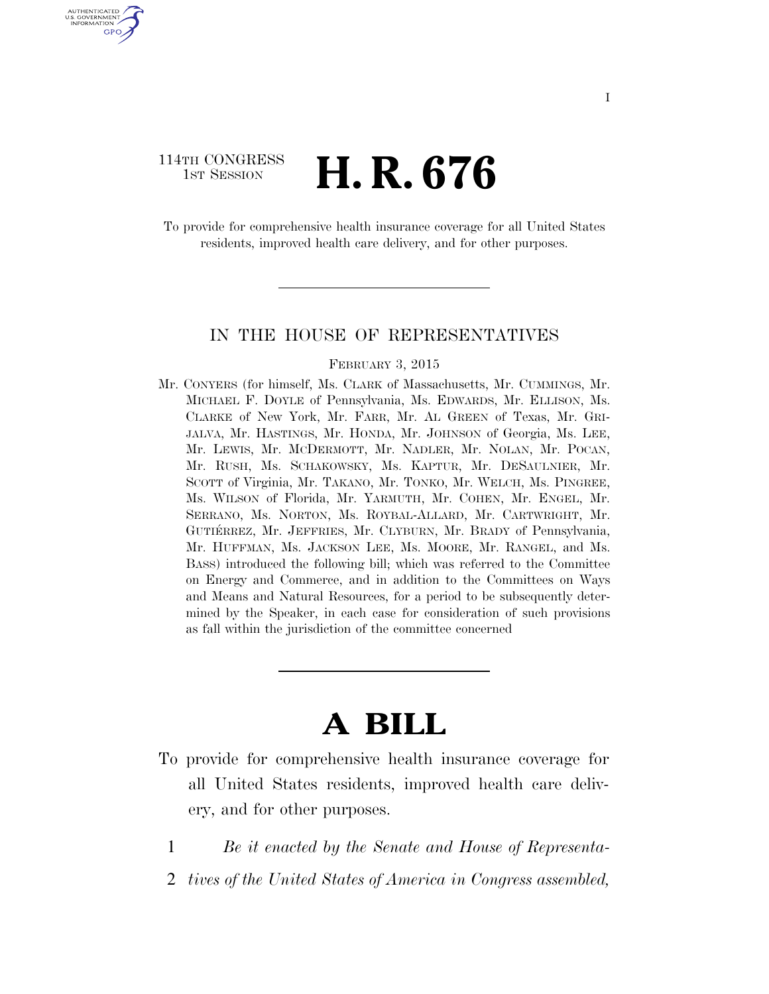## 114TH CONGRESS **1st Session H. R. 676**

U.S. GOVERNMENT GPO

> To provide for comprehensive health insurance coverage for all United States residents, improved health care delivery, and for other purposes.

#### IN THE HOUSE OF REPRESENTATIVES

#### FEBRUARY 3, 2015

Mr. CONYERS (for himself, Ms. CLARK of Massachusetts, Mr. CUMMINGS, Mr. MICHAEL F. DOYLE of Pennsylvania, Ms. EDWARDS, Mr. ELLISON, Ms. CLARKE of New York, Mr. FARR, Mr. AL GREEN of Texas, Mr. GRI-JALVA, Mr. HASTINGS, Mr. HONDA, Mr. JOHNSON of Georgia, Ms. LEE, Mr. LEWIS, Mr. MCDERMOTT, Mr. NADLER, Mr. NOLAN, Mr. POCAN, Mr. RUSH, Ms. SCHAKOWSKY, Ms. KAPTUR, Mr. DESAULNIER, Mr. SCOTT of Virginia, Mr. TAKANO, Mr. TONKO, Mr. WELCH, Ms. PINGREE, Ms. WILSON of Florida, Mr. YARMUTH, Mr. COHEN, Mr. ENGEL, Mr. SERRANO, Ms. NORTON, Ms. ROYBAL-ALLARD, Mr. CARTWRIGHT, Mr. GUTIÉRREZ, Mr. JEFFRIES, Mr. CLYBURN, Mr. BRADY of Pennsylvania, Mr. HUFFMAN, Ms. JACKSON LEE, Ms. MOORE, Mr. RANGEL, and Ms. BASS) introduced the following bill; which was referred to the Committee on Energy and Commerce, and in addition to the Committees on Ways and Means and Natural Resources, for a period to be subsequently determined by the Speaker, in each case for consideration of such provisions as fall within the jurisdiction of the committee concerned

# **A BILL**

- To provide for comprehensive health insurance coverage for all United States residents, improved health care delivery, and for other purposes.
	- 1 *Be it enacted by the Senate and House of Representa-*
	- 2 *tives of the United States of America in Congress assembled,*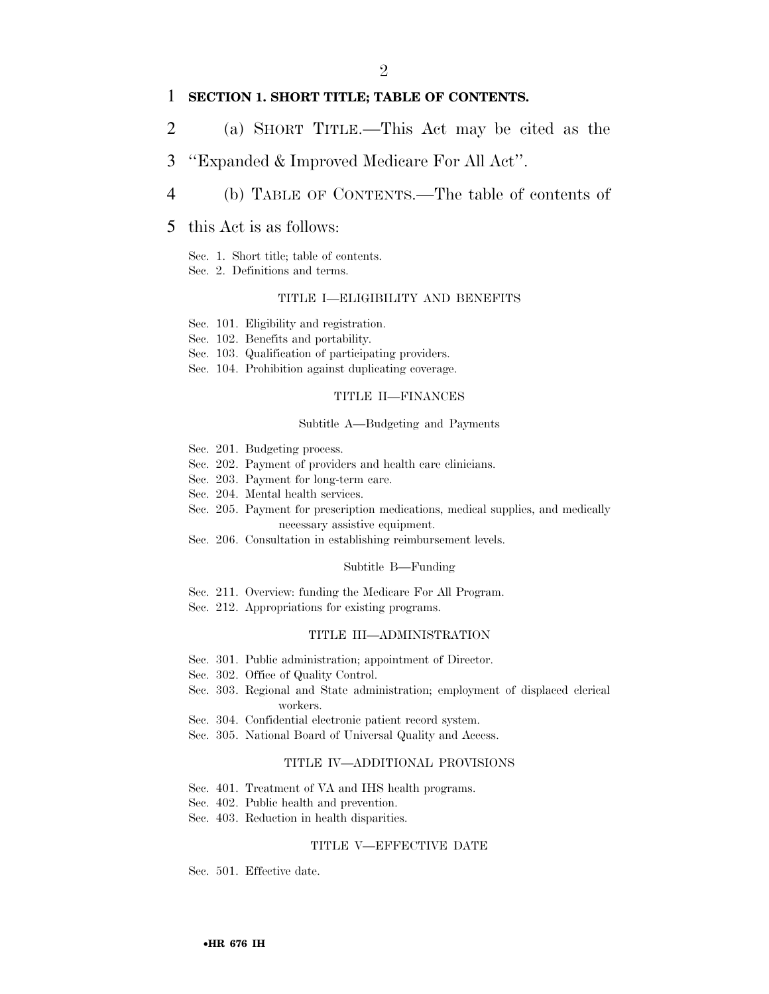#### 1 **SECTION 1. SHORT TITLE; TABLE OF CONTENTS.**

- 2 (a) SHORT TITLE.—This Act may be cited as the
- 3 ''Expanded & Improved Medicare For All Act''.
- 4 (b) TABLE OF CONTENTS.—The table of contents of

#### 5 this Act is as follows:

- Sec. 1. Short title; table of contents.
- Sec. 2. Definitions and terms.

#### TITLE I—ELIGIBILITY AND BENEFITS

- Sec. 101. Eligibility and registration.
- Sec. 102. Benefits and portability.
- Sec. 103. Qualification of participating providers.
- Sec. 104. Prohibition against duplicating coverage.

#### TITLE II—FINANCES

#### Subtitle A—Budgeting and Payments

- Sec. 201. Budgeting process.
- Sec. 202. Payment of providers and health care clinicians.
- Sec. 203. Payment for long-term care.
- Sec. 204. Mental health services.
- Sec. 205. Payment for prescription medications, medical supplies, and medically necessary assistive equipment.
- Sec. 206. Consultation in establishing reimbursement levels.

#### Subtitle B—Funding

- Sec. 211. Overview: funding the Medicare For All Program.
- Sec. 212. Appropriations for existing programs.

#### TITLE III—ADMINISTRATION

- Sec. 301. Public administration; appointment of Director.
- Sec. 302. Office of Quality Control.
- Sec. 303. Regional and State administration; employment of displaced clerical workers.
- Sec. 304. Confidential electronic patient record system.
- Sec. 305. National Board of Universal Quality and Access.

#### TITLE IV—ADDITIONAL PROVISIONS

- Sec. 401. Treatment of VA and IHS health programs.
- Sec. 402. Public health and prevention.
- Sec. 403. Reduction in health disparities.

#### TITLE V—EFFECTIVE DATE

Sec. 501. Effective date.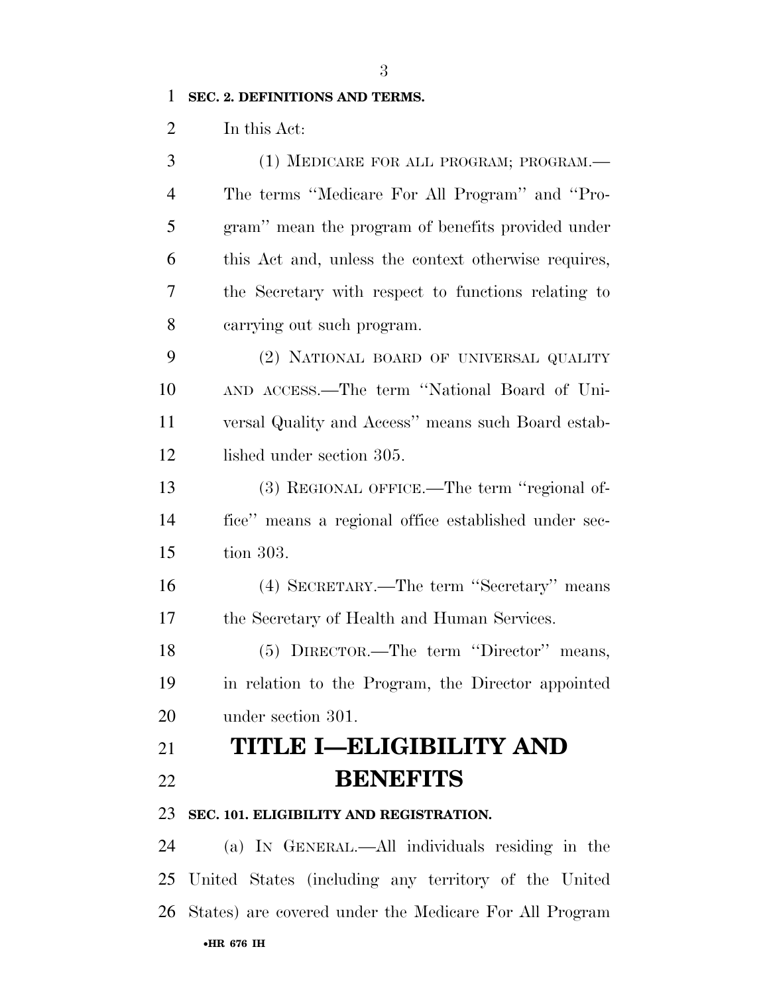### **SEC. 2. DEFINITIONS AND TERMS.**

In this Act:

 (1) MEDICARE FOR ALL PROGRAM; PROGRAM.— The terms ''Medicare For All Program'' and ''Pro- gram'' mean the program of benefits provided under this Act and, unless the context otherwise requires, the Secretary with respect to functions relating to carrying out such program. (2) NATIONAL BOARD OF UNIVERSAL QUALITY AND ACCESS.—The term ''National Board of Uni- versal Quality and Access'' means such Board estab-12 lished under section 305. (3) REGIONAL OFFICE.—The term ''regional of- fice'' means a regional office established under sec- tion 303. (4) SECRETARY.—The term ''Secretary'' means the Secretary of Health and Human Services. (5) DIRECTOR.—The term ''Director'' means, in relation to the Program, the Director appointed under section 301. **TITLE I—ELIGIBILITY AND BENEFITS SEC. 101. ELIGIBILITY AND REGISTRATION.**  (a) IN GENERAL.—All individuals residing in the United States (including any territory of the United

States) are covered under the Medicare For All Program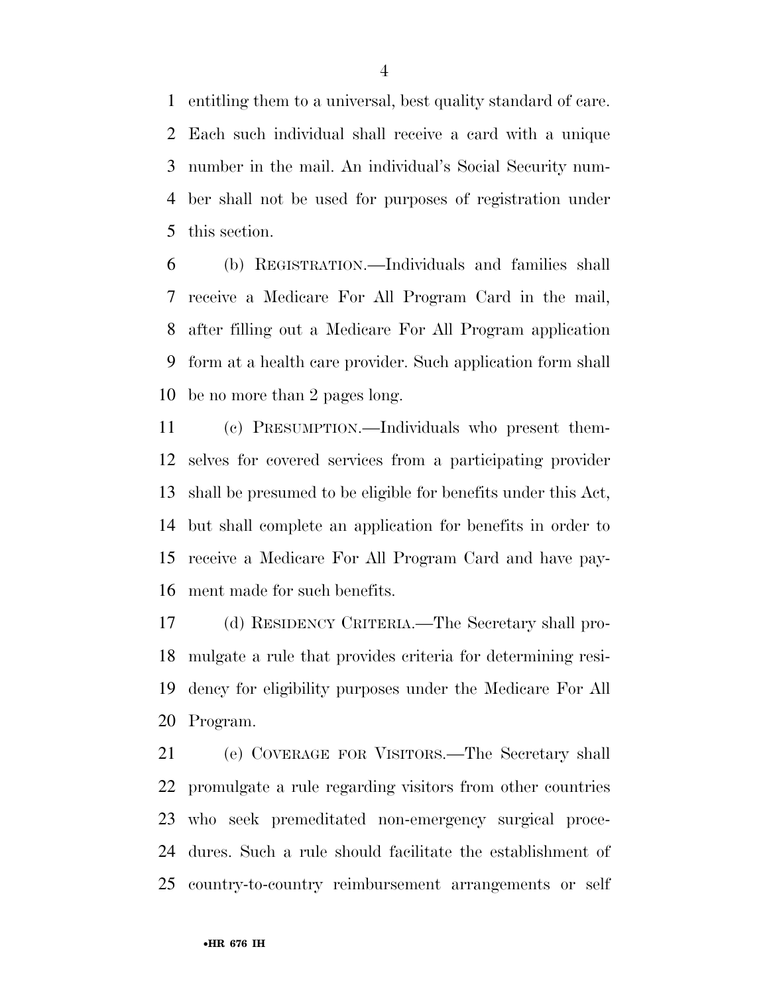entitling them to a universal, best quality standard of care. Each such individual shall receive a card with a unique number in the mail. An individual's Social Security num- ber shall not be used for purposes of registration under this section.

 (b) REGISTRATION.—Individuals and families shall receive a Medicare For All Program Card in the mail, after filling out a Medicare For All Program application form at a health care provider. Such application form shall be no more than 2 pages long.

 (c) PRESUMPTION.—Individuals who present them- selves for covered services from a participating provider shall be presumed to be eligible for benefits under this Act, but shall complete an application for benefits in order to receive a Medicare For All Program Card and have pay-ment made for such benefits.

 (d) RESIDENCY CRITERIA.—The Secretary shall pro- mulgate a rule that provides criteria for determining resi- dency for eligibility purposes under the Medicare For All Program.

 (e) COVERAGE FOR VISITORS.—The Secretary shall promulgate a rule regarding visitors from other countries who seek premeditated non-emergency surgical proce- dures. Such a rule should facilitate the establishment of country-to-country reimbursement arrangements or self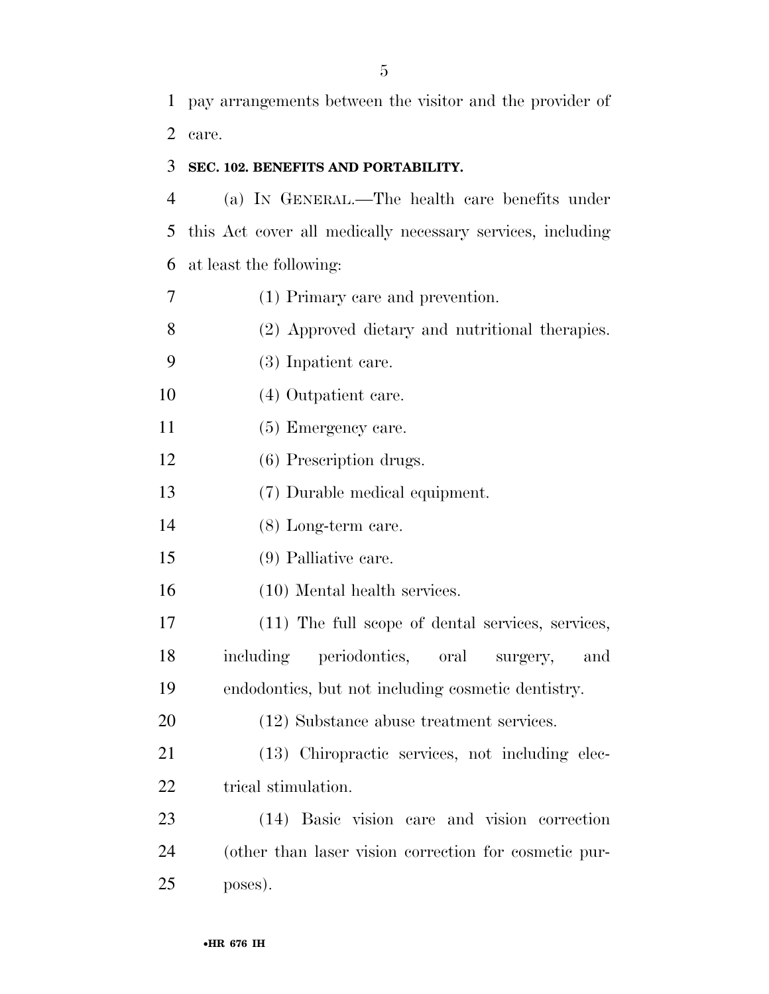### **SEC. 102. BENEFITS AND PORTABILITY.**

 (a) IN GENERAL.—The health care benefits under this Act cover all medically necessary services, including at least the following:

(1) Primary care and prevention.

(2) Approved dietary and nutritional therapies.

- (3) Inpatient care.
- (4) Outpatient care.
- 11 (5) Emergency care.
- (6) Prescription drugs.
- (7) Durable medical equipment.
- (8) Long-term care.
- (9) Palliative care.
- (10) Mental health services.

 (11) The full scope of dental services, services, including periodontics, oral surgery, and endodontics, but not including cosmetic dentistry.

(12) Substance abuse treatment services.

 (13) Chiropractic services, not including elec-22 trical stimulation.

 (14) Basic vision care and vision correction (other than laser vision correction for cosmetic pur-poses).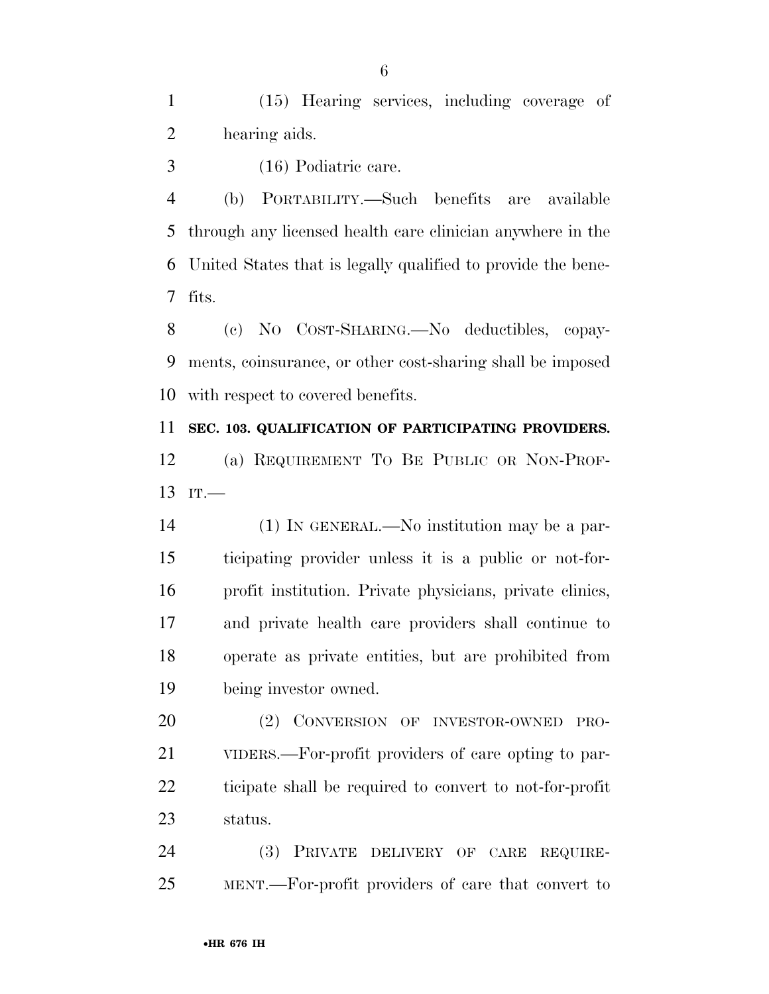(15) Hearing services, including coverage of hearing aids.

(16) Podiatric care.

 (b) PORTABILITY.—Such benefits are available through any licensed health care clinician anywhere in the United States that is legally qualified to provide the bene-fits.

 (c) NO COST-SHARING.—No deductibles, copay- ments, coinsurance, or other cost-sharing shall be imposed with respect to covered benefits.

**SEC. 103. QUALIFICATION OF PARTICIPATING PROVIDERS.** 

 (a) REQUIREMENT TO BE PUBLIC OR NON-PROF-IT.

 (1) IN GENERAL.—No institution may be a par- ticipating provider unless it is a public or not-for- profit institution. Private physicians, private clinics, and private health care providers shall continue to operate as private entities, but are prohibited from being investor owned.

 (2) CONVERSION OF INVESTOR-OWNED PRO- VIDERS.—For-profit providers of care opting to par- ticipate shall be required to convert to not-for-profit status.

 (3) PRIVATE DELIVERY OF CARE REQUIRE-MENT.—For-profit providers of care that convert to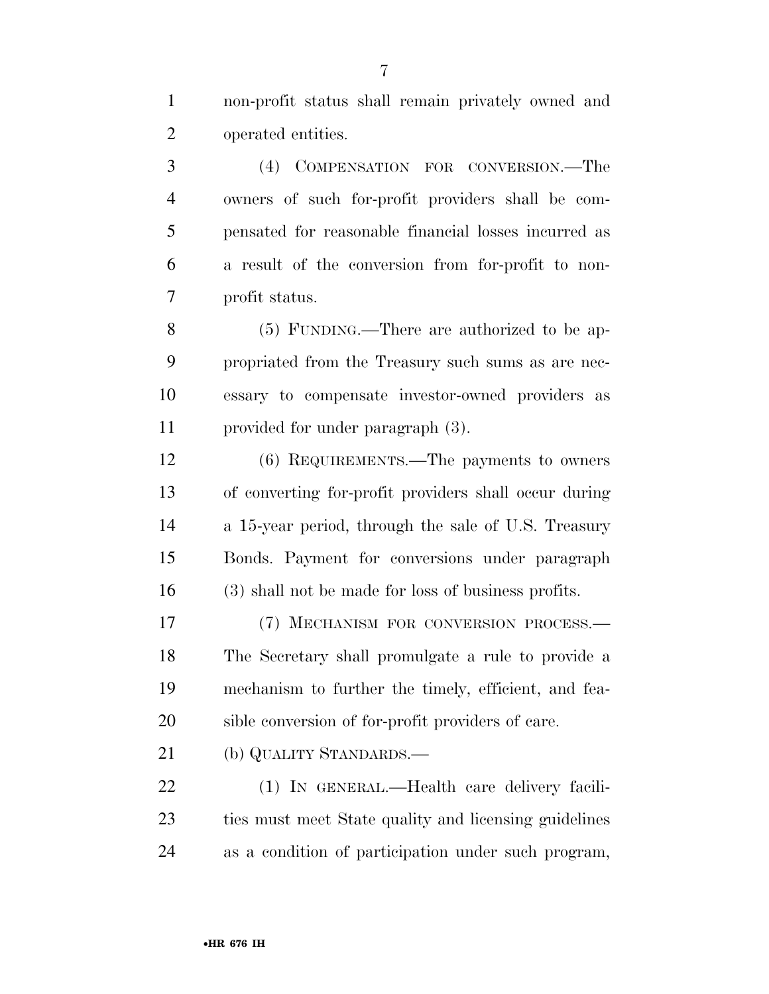non-profit status shall remain privately owned and operated entities.

 (4) COMPENSATION FOR CONVERSION.—The owners of such for-profit providers shall be com- pensated for reasonable financial losses incurred as a result of the conversion from for-profit to non-profit status.

 (5) FUNDING.—There are authorized to be ap- propriated from the Treasury such sums as are nec- essary to compensate investor-owned providers as provided for under paragraph (3).

 (6) REQUIREMENTS.—The payments to owners of converting for-profit providers shall occur during a 15-year period, through the sale of U.S. Treasury Bonds. Payment for conversions under paragraph (3) shall not be made for loss of business profits.

 (7) MECHANISM FOR CONVERSION PROCESS.— The Secretary shall promulgate a rule to provide a mechanism to further the timely, efficient, and fea-sible conversion of for-profit providers of care.

(b) QUALITY STANDARDS.—

 (1) IN GENERAL.—Health care delivery facili- ties must meet State quality and licensing guidelines as a condition of participation under such program,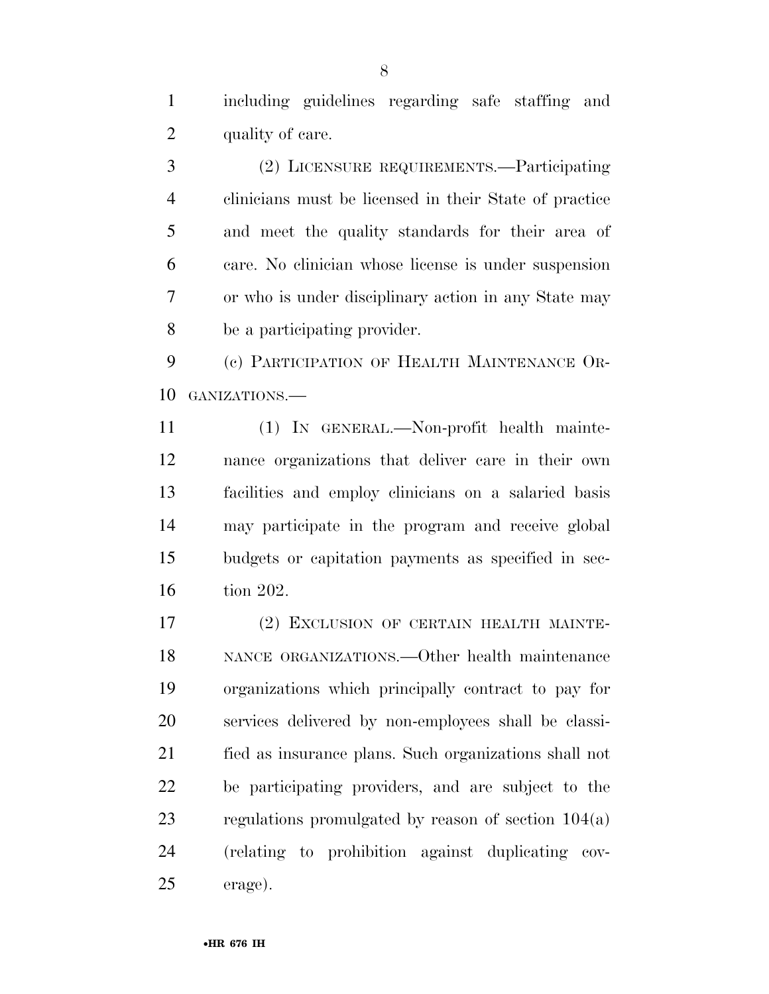including guidelines regarding safe staffing and 2 quality of care.

 (2) LICENSURE REQUIREMENTS.—Participating clinicians must be licensed in their State of practice and meet the quality standards for their area of care. No clinician whose license is under suspension or who is under disciplinary action in any State may be a participating provider.

 (c) PARTICIPATION OF HEALTH MAINTENANCE OR-GANIZATIONS.—

 (1) IN GENERAL.—Non-profit health mainte- nance organizations that deliver care in their own facilities and employ clinicians on a salaried basis may participate in the program and receive global budgets or capitation payments as specified in sec-tion 202.

 (2) EXCLUSION OF CERTAIN HEALTH MAINTE- NANCE ORGANIZATIONS.—Other health maintenance organizations which principally contract to pay for services delivered by non-employees shall be classi- fied as insurance plans. Such organizations shall not be participating providers, and are subject to the regulations promulgated by reason of section 104(a) (relating to prohibition against duplicating cov-erage).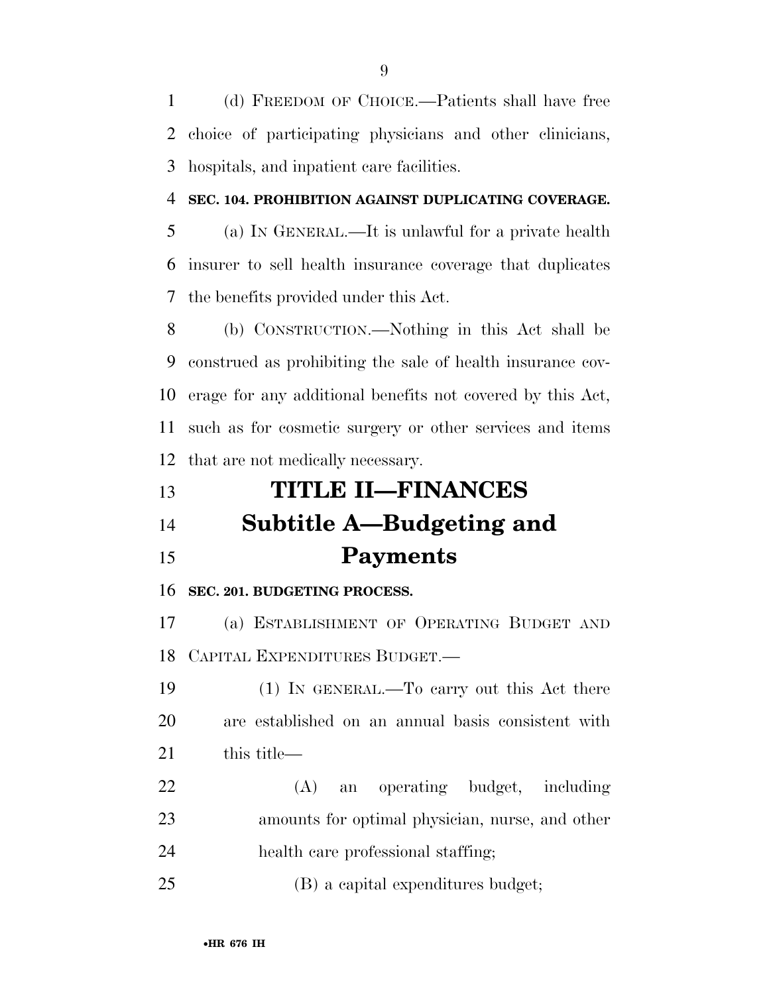(d) FREEDOM OF CHOICE.—Patients shall have free choice of participating physicians and other clinicians, hospitals, and inpatient care facilities.

### **SEC. 104. PROHIBITION AGAINST DUPLICATING COVERAGE.**

 (a) IN GENERAL.—It is unlawful for a private health insurer to sell health insurance coverage that duplicates the benefits provided under this Act.

 (b) CONSTRUCTION.—Nothing in this Act shall be construed as prohibiting the sale of health insurance cov- erage for any additional benefits not covered by this Act, such as for cosmetic surgery or other services and items that are not medically necessary.

# **TITLE II—FINANCES Subtitle A—Budgeting and Payments**

### **SEC. 201. BUDGETING PROCESS.**

 (a) ESTABLISHMENT OF OPERATING BUDGET AND CAPITAL EXPENDITURES BUDGET.—

 (1) IN GENERAL.—To carry out this Act there are established on an annual basis consistent with this title—

 (A) an operating budget, including amounts for optimal physician, nurse, and other health care professional staffing;

(B) a capital expenditures budget;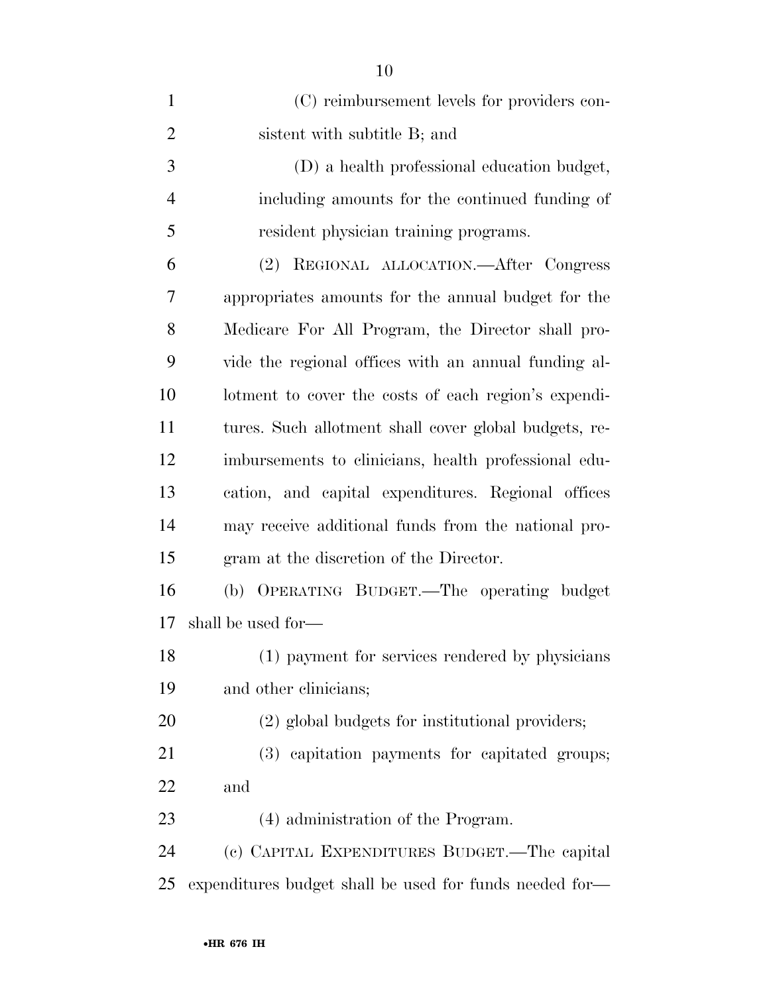| $\mathbf{1}$   | (C) reimbursement levels for providers con-             |
|----------------|---------------------------------------------------------|
| $\overline{2}$ | sistent with subtitle B; and                            |
| 3              | (D) a health professional education budget,             |
| $\overline{4}$ | including amounts for the continued funding of          |
| 5              | resident physician training programs.                   |
| 6              | REGIONAL ALLOCATION.—After Congress<br>(2)              |
| $\overline{7}$ | appropriates amounts for the annual budget for the      |
| 8              | Medicare For All Program, the Director shall pro-       |
| 9              | vide the regional offices with an annual funding al-    |
| 10             | lotment to cover the costs of each region's expendi-    |
| 11             | tures. Such allotment shall cover global budgets, re-   |
| 12             | imbursements to clinicians, health professional edu-    |
| 13             | cation, and capital expenditures. Regional offices      |
| 14             | may receive additional funds from the national pro-     |
| 15             | gram at the discretion of the Director.                 |
| 16             | (b) OPERATING BUDGET.—The operating budget              |
| 17             | shall be used for—                                      |
| 18             | (1) payment for services rendered by physicians         |
| 19             | and other clinicians;                                   |
| 20             | (2) global budgets for institutional providers;         |
| 21             | (3) capitation payments for capitated groups;           |
| 22             | and                                                     |
| 23             | (4) administration of the Program.                      |
| 24             | (c) CAPITAL EXPENDITURES BUDGET.—The capital            |
| 25             | expenditures budget shall be used for funds needed for— |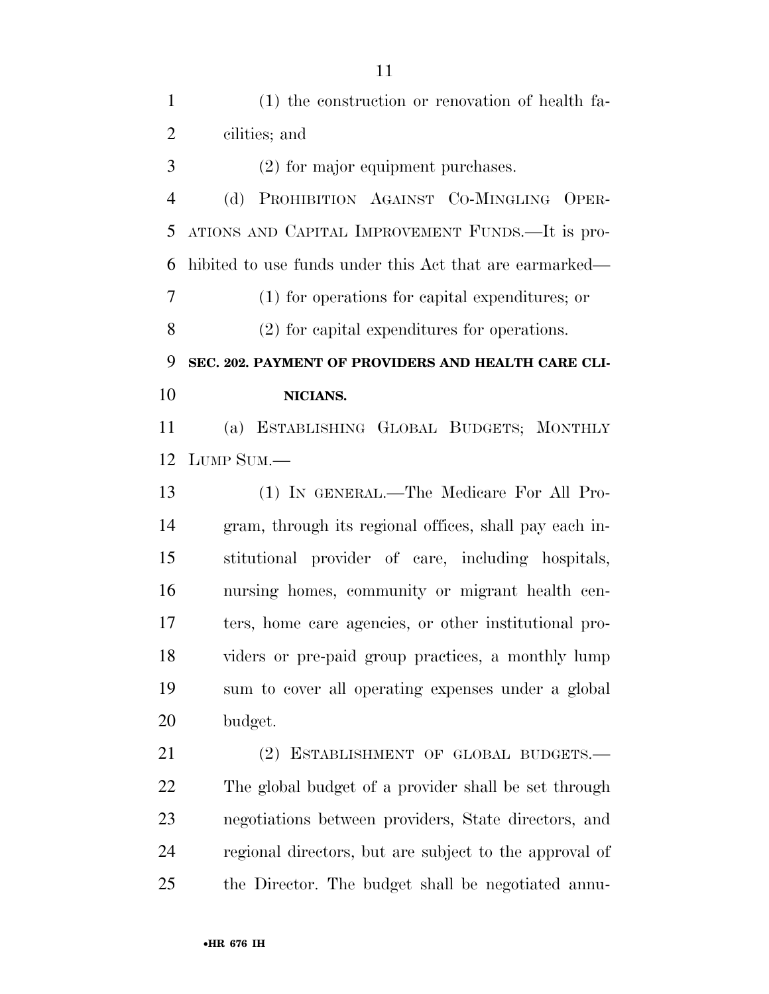| $\mathbf{1}$   | (1) the construction or renovation of health fa-        |
|----------------|---------------------------------------------------------|
| $\overline{2}$ | cilities; and                                           |
| 3              | $(2)$ for major equipment purchases.                    |
| $\overline{4}$ | (d) PROHIBITION AGAINST CO-MINGLING OPER-               |
| 5              | ATIONS AND CAPITAL IMPROVEMENT FUNDS.—It is pro-        |
| 6              | hibited to use funds under this Act that are earmarked— |
| 7              | (1) for operations for capital expenditures; or         |
| 8              | (2) for capital expenditures for operations.            |
| 9              | SEC. 202. PAYMENT OF PROVIDERS AND HEALTH CARE CLI-     |
| 10             | NICIANS.                                                |
| 11             | (a) ESTABLISHING GLOBAL BUDGETS; MONTHLY                |
| 12             | LUMP SUM.-                                              |
| 13             | (1) IN GENERAL.—The Medicare For All Pro-               |
| 14             | gram, through its regional offices, shall pay each in-  |
| 15             | stitutional provider of care, including hospitals,      |
| 16             | nursing homes, community or migrant health cen-         |
| 17             | ters, home care agencies, or other institutional pro-   |
| 18             | viders or pre-paid group practices, a monthly lump      |
| 19             | sum to cover all operating expenses under a global      |
| 20             |                                                         |
|                | budget.                                                 |
| 21             | (2) ESTABLISHMENT OF GLOBAL BUDGETS.-                   |
| 22             | The global budget of a provider shall be set through    |
| 23             | negotiations between providers, State directors, and    |

the Director. The budget shall be negotiated annu-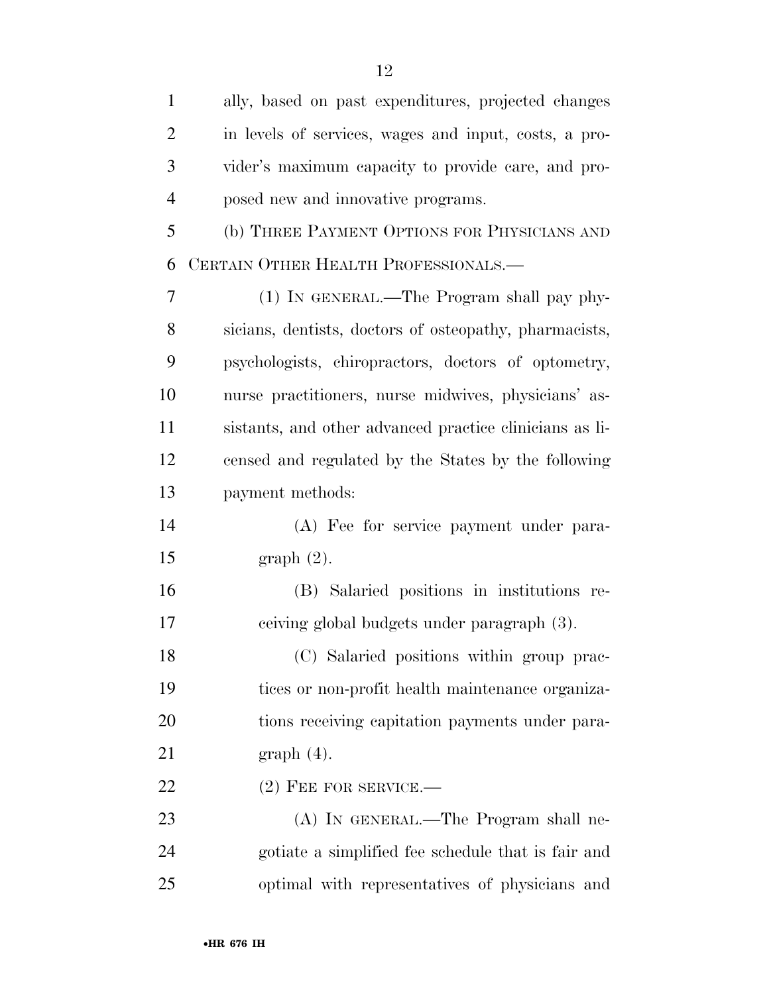| $\mathbf{1}$   | ally, based on past expenditures, projected changes     |
|----------------|---------------------------------------------------------|
| $\overline{2}$ | in levels of services, wages and input, costs, a pro-   |
| 3              | vider's maximum capacity to provide care, and pro-      |
| $\overline{4}$ | posed new and innovative programs.                      |
| 5              | (b) THREE PAYMENT OPTIONS FOR PHYSICIANS AND            |
| 6              | CERTAIN OTHER HEALTH PROFESSIONALS.-                    |
| $\overline{7}$ | (1) IN GENERAL.—The Program shall pay phy-              |
| 8              | sicians, dentists, doctors of osteopathy, pharmacists,  |
| 9              | psychologists, chiropractors, doctors of optometry,     |
| 10             | nurse practitioners, nurse midwives, physicians' as-    |
| 11             | sistants, and other advanced practice clinicians as li- |
| 12             | censed and regulated by the States by the following     |
| 13             | payment methods:                                        |
| 14             | (A) Fee for service payment under para-                 |
| 15             | graph(2).                                               |
| 16             | (B) Salaried positions in institutions re-              |
| 17             | ceiving global budgets under paragraph (3).             |
| 18             | (C) Salaried positions within group prac-               |
| 19             | tices or non-profit health maintenance organiza-        |
| 20             | tions receiving capitation payments under para-         |
| 21             | $graph(4)$ .                                            |
| 22             | $(2)$ FEE FOR SERVICE.—                                 |
| 23             | (A) IN GENERAL.—The Program shall ne-                   |
| 24             | gotiate a simplified fee schedule that is fair and      |
| 25             | optimal with representatives of physicians and          |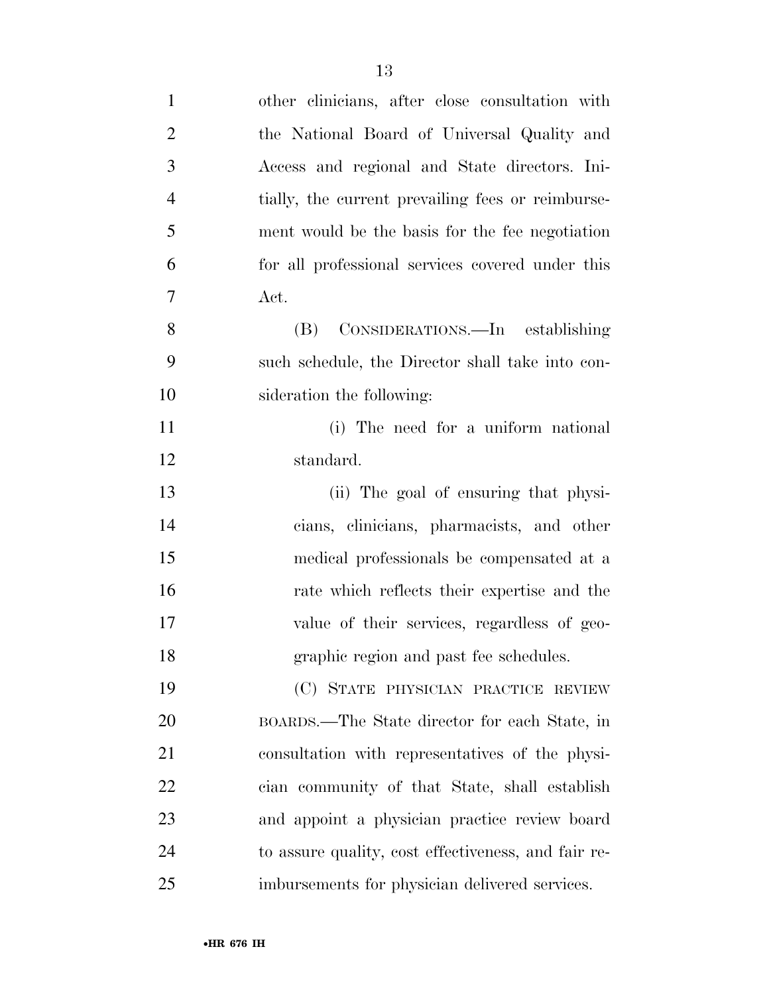| $\mathbf{1}$   | other clinicians, after close consultation with     |
|----------------|-----------------------------------------------------|
| $\overline{2}$ | the National Board of Universal Quality and         |
| 3              | Access and regional and State directors. Ini-       |
| $\overline{4}$ | tially, the current prevailing fees or reimburse-   |
| 5              | ment would be the basis for the fee negotiation     |
| 6              | for all professional services covered under this    |
| 7              | Act.                                                |
| 8              | (B) CONSIDERATIONS.—In establishing                 |
| 9              | such schedule, the Director shall take into con-    |
| 10             | sideration the following:                           |
| 11             | (i) The need for a uniform national                 |
| 12             | standard.                                           |
| 13             | (ii) The goal of ensuring that physi-               |
| 14             | cians, clinicians, pharmacists, and other           |
| 15             | medical professionals be compensated at a           |
| 16             | rate which reflects their expertise and the         |
| 17             | value of their services, regardless of geo-         |
| 18             | graphic region and past fee schedules.              |
| 19             | (C) STATE PHYSICIAN PRACTICE REVIEW                 |
| 20             | BOARDS.—The State director for each State, in       |
| 21             | consultation with representatives of the physi-     |
| 22             | cian community of that State, shall establish       |
| 23             | and appoint a physician practice review board       |
| 24             | to assure quality, cost effectiveness, and fair re- |
| 25             | imbursements for physician delivered services.      |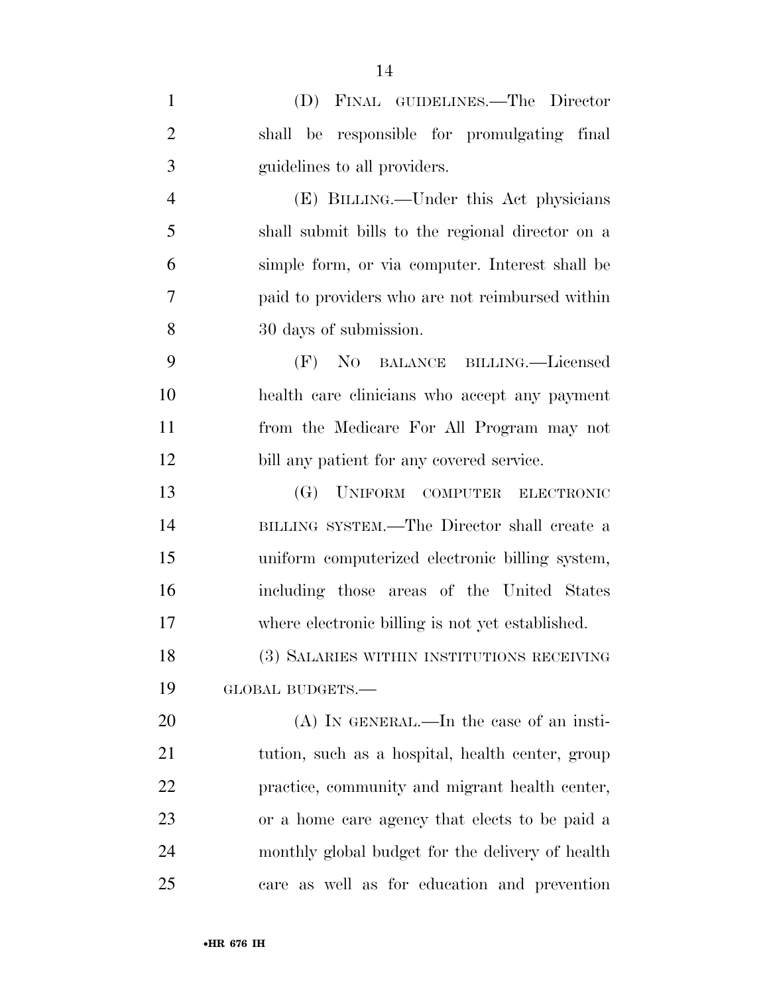| $\mathbf{1}$   | (D) FINAL GUIDELINES.—The Director               |
|----------------|--------------------------------------------------|
| $\overline{2}$ | shall be responsible for promulgating final      |
| 3              | guidelines to all providers.                     |
| $\overline{4}$ | (E) BILLING.—Under this Act physicians           |
| 5              | shall submit bills to the regional director on a |
| 6              | simple form, or via computer. Interest shall be  |
| $\overline{7}$ | paid to providers who are not reimbursed within  |
| 8              | 30 days of submission.                           |
| 9              | (F) NO BALANCE BILLING.—Licensed                 |
| 10             | health care clinicians who accept any payment    |
| 11             | from the Medicare For All Program may not        |
| 12             | bill any patient for any covered service.        |
| 13             | (G) UNIFORM COMPUTER ELECTRONIC                  |
| 14             | BILLING SYSTEM.—The Director shall create a      |
| 15             | uniform computerized electronic billing system,  |
| 16             | including those areas of the United States       |
| 17             | where electronic billing is not yet established. |
| 18             | (3) SALARIES WITHIN INSTITUTIONS RECEIVING       |
| 19             | GLOBAL BUDGETS.-                                 |
| 20             | $(A)$ In GENERAL.—In the case of an insti-       |
| 21             | tution, such as a hospital, health center, group |
| 22             | practice, community and migrant health center,   |
| 23             | or a home care agency that elects to be paid a   |
| 24             | monthly global budget for the delivery of health |
| 25             | care as well as for education and prevention     |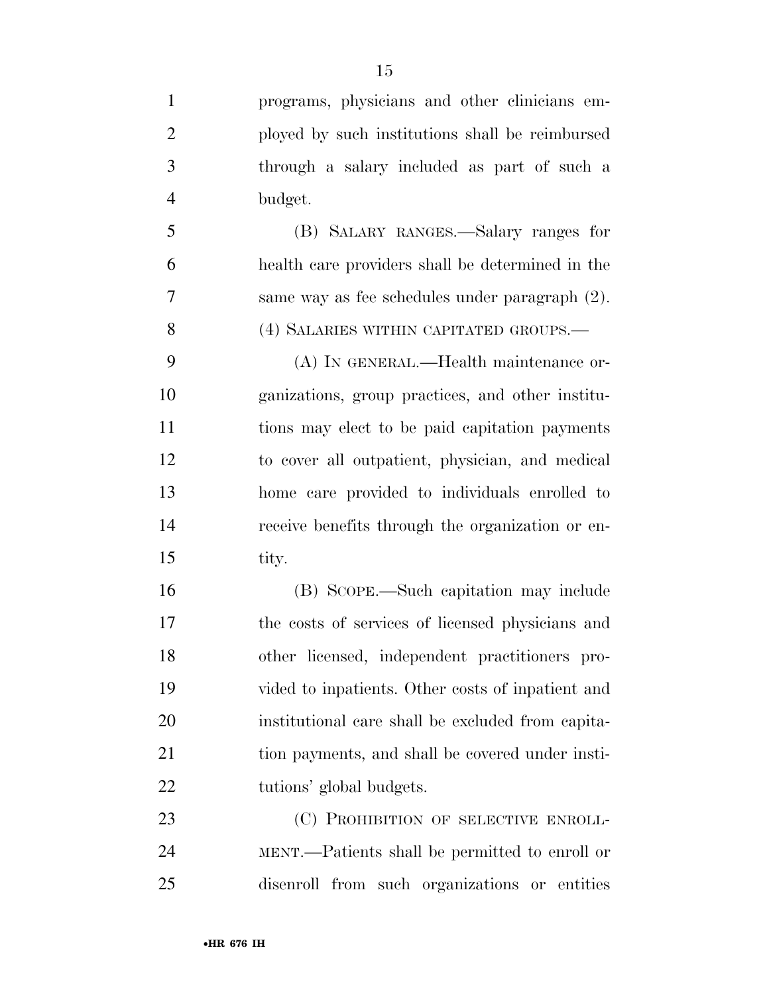programs, physicians and other clinicians em- ployed by such institutions shall be reimbursed through a salary included as part of such a budget.

 (B) SALARY RANGES.—Salary ranges for health care providers shall be determined in the same way as fee schedules under paragraph (2). (4) SALARIES WITHIN CAPITATED GROUPS.—

 (A) IN GENERAL.—Health maintenance or- ganizations, group practices, and other institu- tions may elect to be paid capitation payments to cover all outpatient, physician, and medical home care provided to individuals enrolled to receive benefits through the organization or en-tity.

 (B) SCOPE.—Such capitation may include the costs of services of licensed physicians and other licensed, independent practitioners pro- vided to inpatients. Other costs of inpatient and institutional care shall be excluded from capita-21 tion payments, and shall be covered under insti-22 tutions' global budgets.

23 (C) PROHIBITION OF SELECTIVE ENROLL- MENT.—Patients shall be permitted to enroll or disenroll from such organizations or entities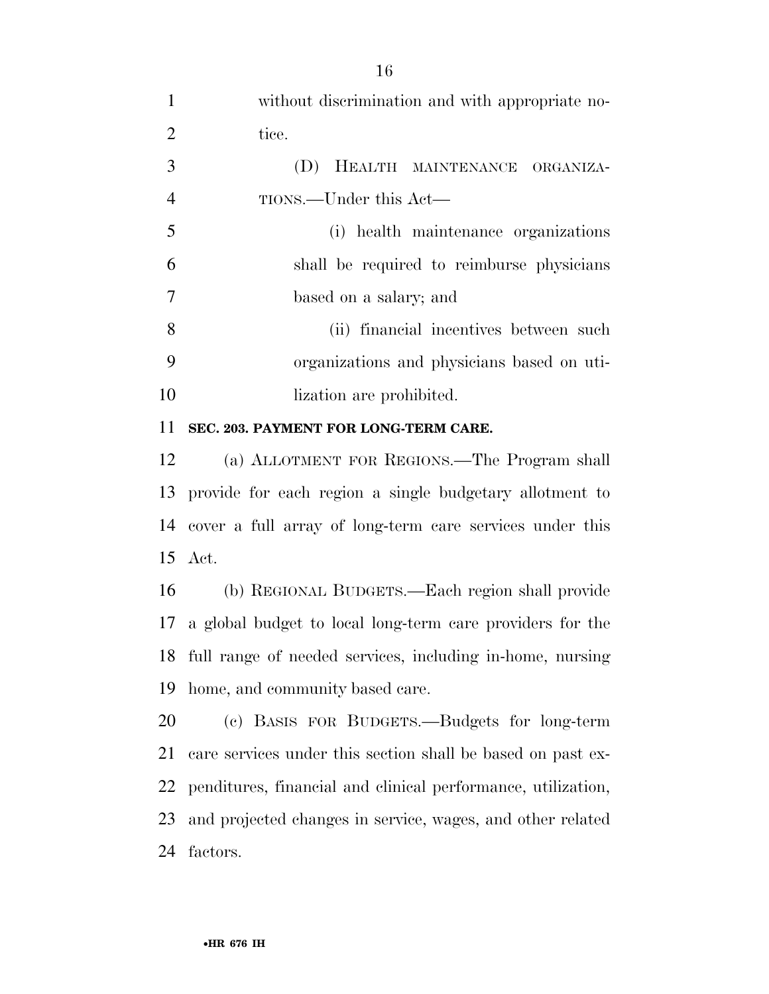| $\mathbf{1}$   | without discrimination and with appropriate no-             |
|----------------|-------------------------------------------------------------|
| 2              | tice.                                                       |
| 3              | (D) HEALTH MAINTENANCE ORGANIZA-                            |
| $\overline{4}$ | TIONS.—Under this Act—                                      |
| 5              | (i) health maintenance organizations                        |
| 6              | shall be required to reimburse physicians                   |
| $\overline{7}$ | based on a salary; and                                      |
| 8              | (ii) financial incentives between such                      |
| 9              | organizations and physicians based on uti-                  |
| 10             | lization are prohibited.                                    |
| 11             | SEC. 203. PAYMENT FOR LONG-TERM CARE.                       |
| 12             | (a) ALLOTMENT FOR REGIONS.—The Program shall                |
|                | 12 provide for each megian a single bridgetown elletward to |

 provide for each region a single budgetary allotment to cover a full array of long-term care services under this Act.

 (b) REGIONAL BUDGETS.—Each region shall provide a global budget to local long-term care providers for the full range of needed services, including in-home, nursing home, and community based care.

 (c) BASIS FOR BUDGETS.—Budgets for long-term care services under this section shall be based on past ex- penditures, financial and clinical performance, utilization, and projected changes in service, wages, and other related factors.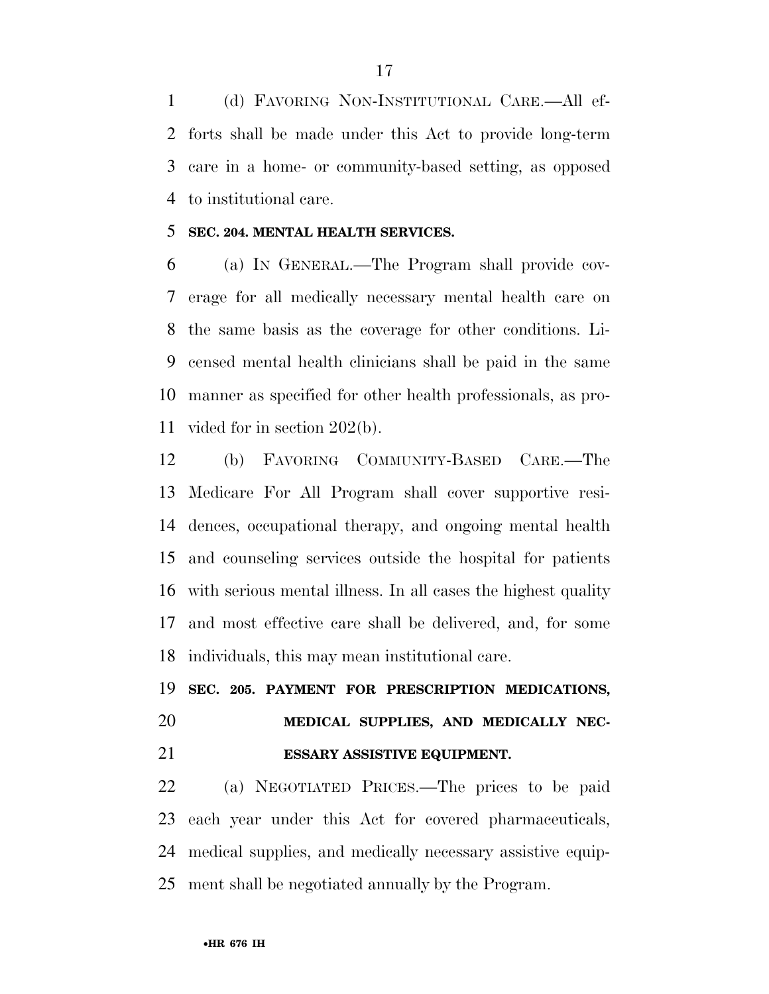(d) FAVORING NON-INSTITUTIONAL CARE.—All ef- forts shall be made under this Act to provide long-term care in a home- or community-based setting, as opposed to institutional care.

### **SEC. 204. MENTAL HEALTH SERVICES.**

 (a) IN GENERAL.—The Program shall provide cov- erage for all medically necessary mental health care on the same basis as the coverage for other conditions. Li- censed mental health clinicians shall be paid in the same manner as specified for other health professionals, as pro-vided for in section 202(b).

 (b) FAVORING COMMUNITY-BASED CARE.—The Medicare For All Program shall cover supportive resi- dences, occupational therapy, and ongoing mental health and counseling services outside the hospital for patients with serious mental illness. In all cases the highest quality and most effective care shall be delivered, and, for some individuals, this may mean institutional care.

# **SEC. 205. PAYMENT FOR PRESCRIPTION MEDICATIONS, MEDICAL SUPPLIES, AND MEDICALLY NEC-ESSARY ASSISTIVE EQUIPMENT.**

 (a) NEGOTIATED PRICES.—The prices to be paid each year under this Act for covered pharmaceuticals, medical supplies, and medically necessary assistive equip-ment shall be negotiated annually by the Program.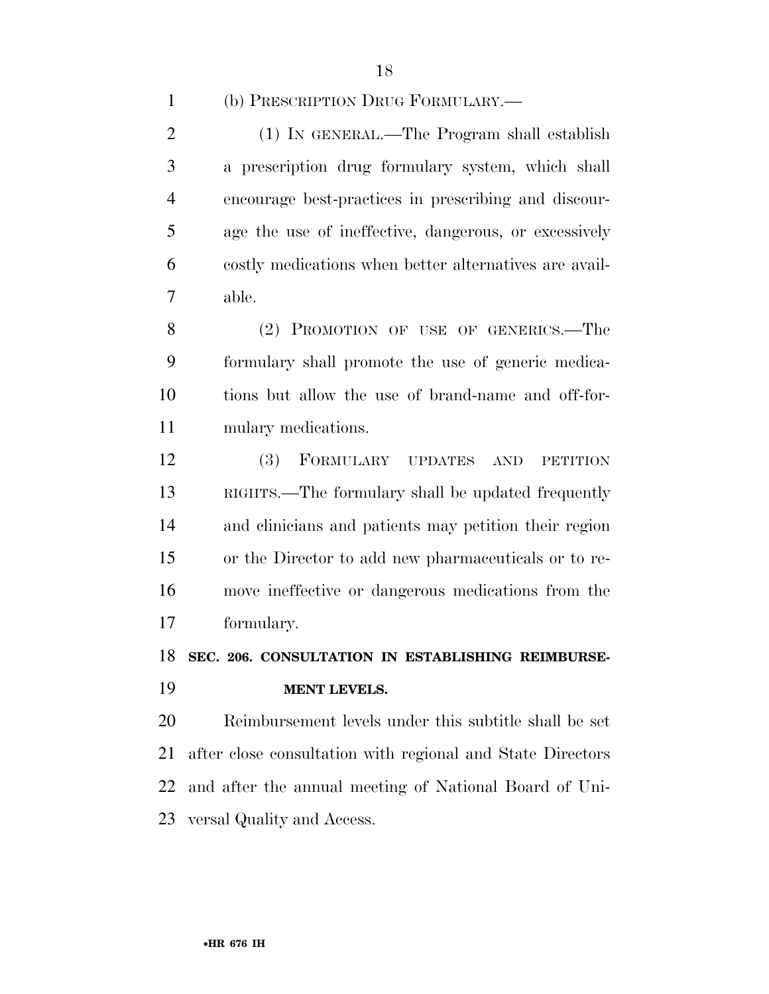|  | (b) PRESCRIPTION DRUG FORMULARY.— |
|--|-----------------------------------|
|--|-----------------------------------|

 (1) IN GENERAL.—The Program shall establish a prescription drug formulary system, which shall encourage best-practices in prescribing and discour- age the use of ineffective, dangerous, or excessively costly medications when better alternatives are avail-able.

 (2) PROMOTION OF USE OF GENERICS.—The formulary shall promote the use of generic medica- tions but allow the use of brand-name and off-for-mulary medications.

 (3) FORMULARY UPDATES AND PETITION RIGHTS.—The formulary shall be updated frequently and clinicians and patients may petition their region or the Director to add new pharmaceuticals or to re- move ineffective or dangerous medications from the formulary.

**SEC. 206. CONSULTATION IN ESTABLISHING REIMBURSE-**

**MENT LEVELS.** 

 Reimbursement levels under this subtitle shall be set after close consultation with regional and State Directors and after the annual meeting of National Board of Uni-versal Quality and Access.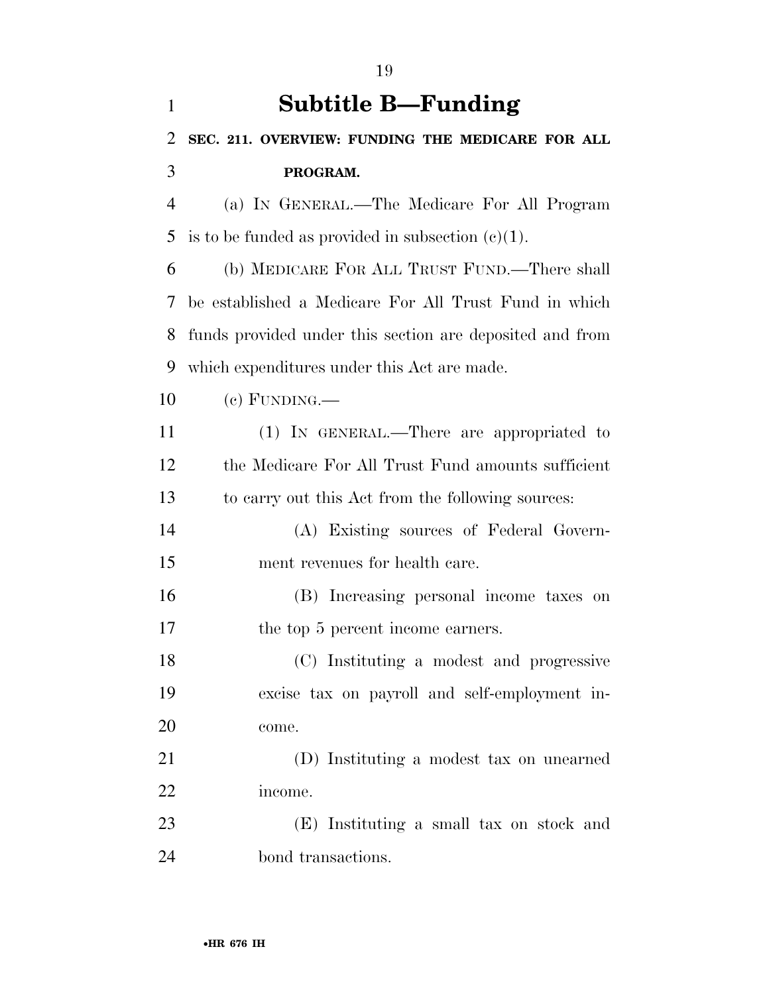| $\mathbf{1}$   | <b>Subtitle B—Funding</b>                                |
|----------------|----------------------------------------------------------|
| 2              | SEC. 211. OVERVIEW: FUNDING THE MEDICARE FOR ALL         |
| 3              | PROGRAM.                                                 |
| $\overline{4}$ | (a) IN GENERAL.—The Medicare For All Program             |
| 5              | is to be funded as provided in subsection $(c)(1)$ .     |
| 6              | (b) MEDICARE FOR ALL TRUST FUND.—There shall             |
| 7              | be established a Medicare For All Trust Fund in which    |
| 8              | funds provided under this section are deposited and from |
| 9              | which expenditures under this Act are made.              |
| 10             | $(e)$ FUNDING.—                                          |
| 11             | (1) IN GENERAL.—There are appropriated to                |
| 12             | the Medicare For All Trust Fund amounts sufficient       |
| 13             | to carry out this Act from the following sources:        |
| 14             | (A) Existing sources of Federal Govern-                  |
| 15             | ment revenues for health care.                           |
| 16             | (B) Increasing personal income taxes on                  |
| 17             | the top 5 percent income earners.                        |
| 18             | (C) Instituting a modest and progressive                 |
| 19             | excise tax on payroll and self-employment in-            |
| 20             | come.                                                    |
| 21             | (D) Instituting a modest tax on unearned                 |
| 22             | income.                                                  |
| 23             | (E) Instituting a small tax on stock and                 |
| 24             | bond transactions.                                       |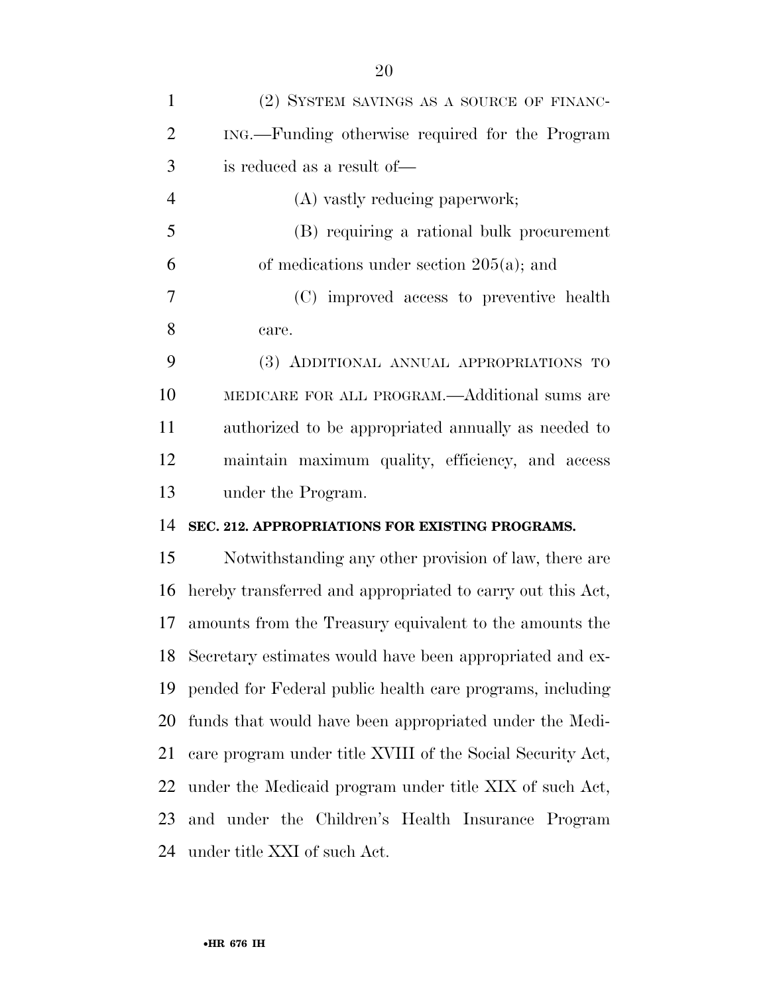| $\mathbf{1}$   | (2) SYSTEM SAVINGS AS A SOURCE OF FINANC-                    |
|----------------|--------------------------------------------------------------|
| $\overline{2}$ | ING.—Funding otherwise required for the Program              |
| 3              | is reduced as a result of—                                   |
| $\overline{4}$ | (A) vastly reducing paperwork;                               |
| 5              | (B) requiring a rational bulk procurement                    |
| 6              | of medications under section $205(a)$ ; and                  |
| 7              | (C) improved access to preventive health                     |
| 8              | care.                                                        |
| 9              | (3) ADDITIONAL ANNUAL APPROPRIATIONS TO                      |
| 10             | MEDICARE FOR ALL PROGRAM.—Additional sums are                |
| 11             | authorized to be appropriated annually as needed to          |
| 12             | maintain maximum quality, efficiency, and access             |
|                |                                                              |
|                | under the Program.                                           |
|                | SEC. 212. APPROPRIATIONS FOR EXISTING PROGRAMS.              |
| 13<br>14<br>15 | Notwithstanding any other provision of law, there are        |
| 16             | hereby transferred and appropriated to carry out this Act,   |
| 17             | amounts from the Treasury equivalent to the amounts the      |
|                | 18 Secretary estimates would have been appropriated and ex-  |
|                | 19 pended for Federal public health care programs, including |
| 20             | funds that would have been appropriated under the Medi-      |
| 21             | care program under title XVIII of the Social Security Act,   |
| 22             | under the Medicaid program under title XIX of such Act,      |
| 23             | and under the Children's Health Insurance Program            |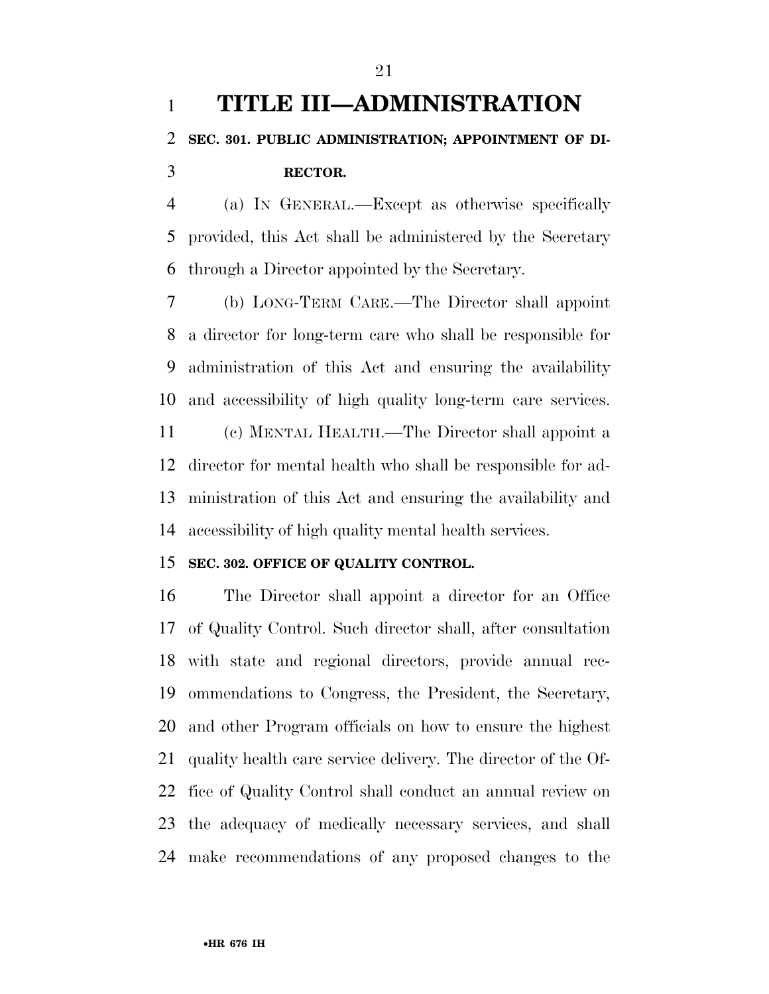# **TITLE III—ADMINISTRATION SEC. 301. PUBLIC ADMINISTRATION; APPOINTMENT OF DI-RECTOR.**

 (a) IN GENERAL.—Except as otherwise specifically provided, this Act shall be administered by the Secretary through a Director appointed by the Secretary.

 (b) LONG-TERM CARE.—The Director shall appoint a director for long-term care who shall be responsible for administration of this Act and ensuring the availability and accessibility of high quality long-term care services. (c) MENTAL HEALTH.—The Director shall appoint a director for mental health who shall be responsible for ad-ministration of this Act and ensuring the availability and

## accessibility of high quality mental health services.

## **SEC. 302. OFFICE OF QUALITY CONTROL.**

 The Director shall appoint a director for an Office of Quality Control. Such director shall, after consultation with state and regional directors, provide annual rec- ommendations to Congress, the President, the Secretary, and other Program officials on how to ensure the highest quality health care service delivery. The director of the Of- fice of Quality Control shall conduct an annual review on the adequacy of medically necessary services, and shall make recommendations of any proposed changes to the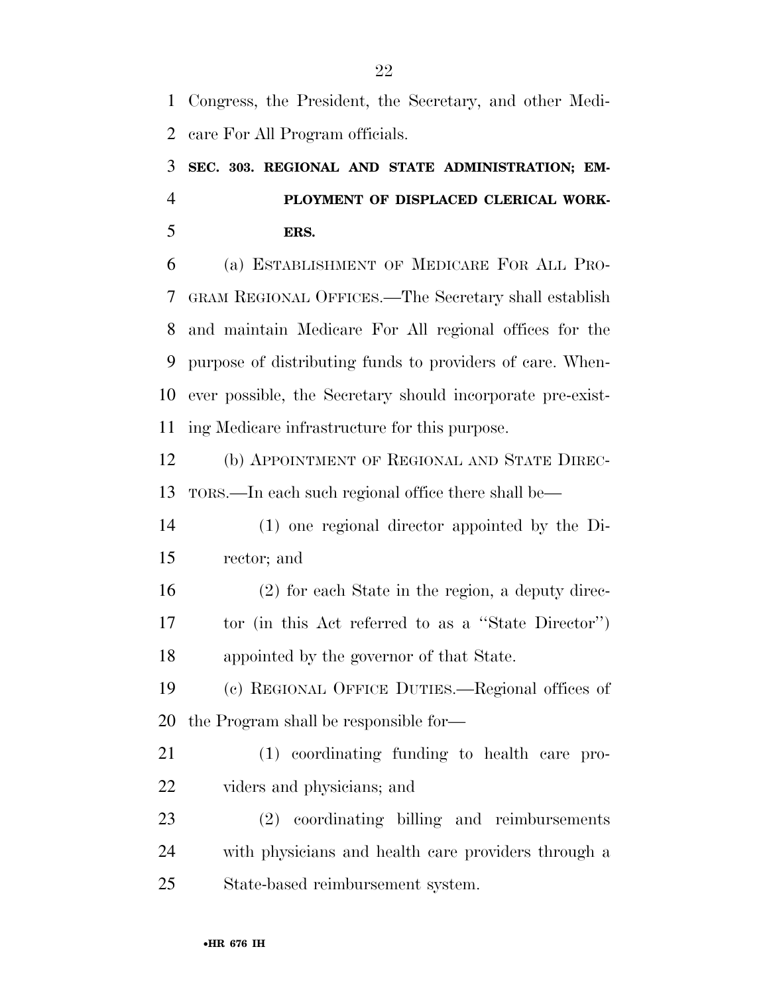Congress, the President, the Secretary, and other Medi-care For All Program officials.

# **SEC. 303. REGIONAL AND STATE ADMINISTRATION; EM- PLOYMENT OF DISPLACED CLERICAL WORK-ERS.**

 (a) ESTABLISHMENT OF MEDICARE FOR ALL PRO- GRAM REGIONAL OFFICES.—The Secretary shall establish and maintain Medicare For All regional offices for the purpose of distributing funds to providers of care. When- ever possible, the Secretary should incorporate pre-exist-ing Medicare infrastructure for this purpose.

 (b) APPOINTMENT OF REGIONAL AND STATE DIREC-TORS.—In each such regional office there shall be—

 (1) one regional director appointed by the Di-rector; and

 (2) for each State in the region, a deputy direc- tor (in this Act referred to as a ''State Director'') appointed by the governor of that State.

 (c) REGIONAL OFFICE DUTIES.—Regional offices of the Program shall be responsible for—

 (1) coordinating funding to health care pro-viders and physicians; and

 (2) coordinating billing and reimbursements with physicians and health care providers through a State-based reimbursement system.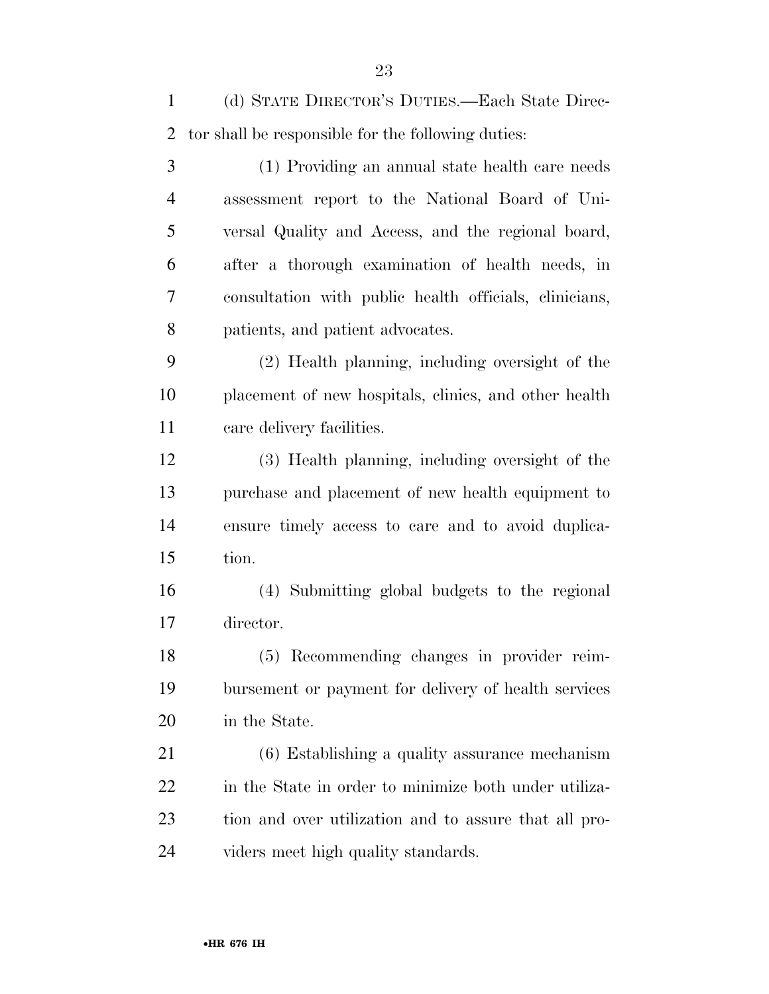(d) STATE DIRECTOR'S DUTIES.—Each State Direc- tor shall be responsible for the following duties: (1) Providing an annual state health care needs assessment report to the National Board of Uni- versal Quality and Access, and the regional board, after a thorough examination of health needs, in consultation with public health officials, clinicians, patients, and patient advocates. (2) Health planning, including oversight of the placement of new hospitals, clinics, and other health care delivery facilities. (3) Health planning, including oversight of the purchase and placement of new health equipment to ensure timely access to care and to avoid duplica- tion. (4) Submitting global budgets to the regional director. (5) Recommending changes in provider reim- bursement or payment for delivery of health services in the State. (6) Establishing a quality assurance mechanism in the State in order to minimize both under utiliza- tion and over utilization and to assure that all pro-viders meet high quality standards.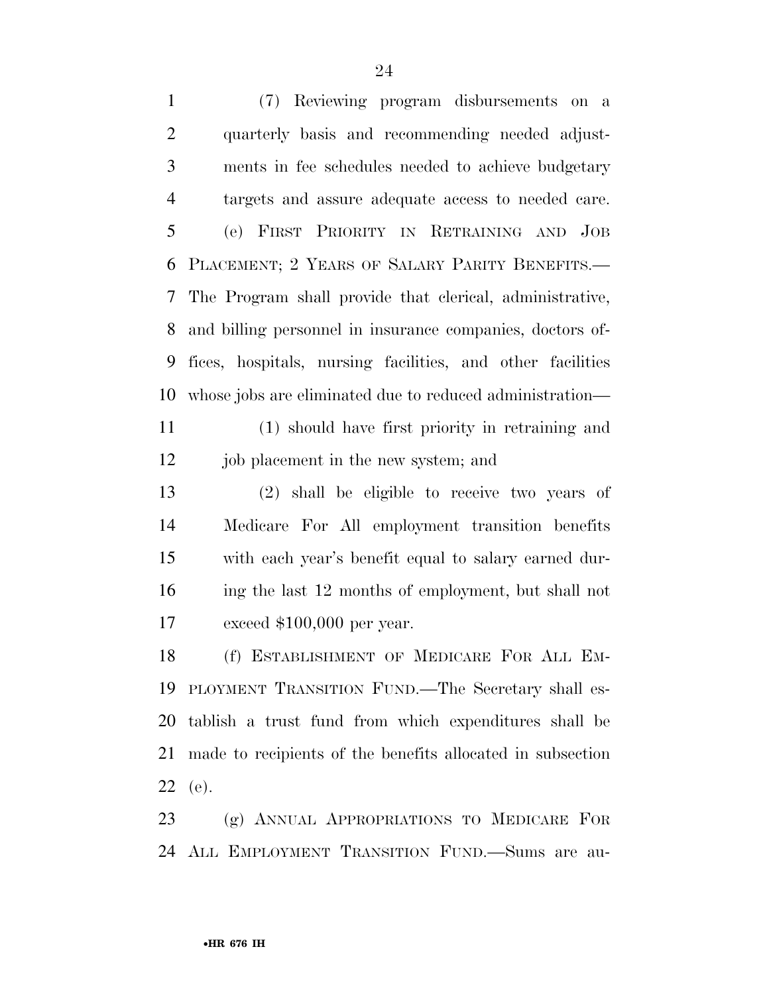(7) Reviewing program disbursements on a quarterly basis and recommending needed adjust- ments in fee schedules needed to achieve budgetary targets and assure adequate access to needed care. (e) FIRST PRIORITY IN RETRAINING AND JOB PLACEMENT; 2 YEARS OF SALARY PARITY BENEFITS.— The Program shall provide that clerical, administrative, and billing personnel in insurance companies, doctors of- fices, hospitals, nursing facilities, and other facilities whose jobs are eliminated due to reduced administration—

 (1) should have first priority in retraining and job placement in the new system; and

 (2) shall be eligible to receive two years of Medicare For All employment transition benefits with each year's benefit equal to salary earned dur- ing the last 12 months of employment, but shall not exceed \$100,000 per year.

 (f) ESTABLISHMENT OF MEDICARE FOR ALL EM- PLOYMENT TRANSITION FUND.—The Secretary shall es- tablish a trust fund from which expenditures shall be made to recipients of the benefits allocated in subsection (e).

 (g) ANNUAL APPROPRIATIONS TO MEDICARE FOR ALL EMPLOYMENT TRANSITION FUND.—Sums are au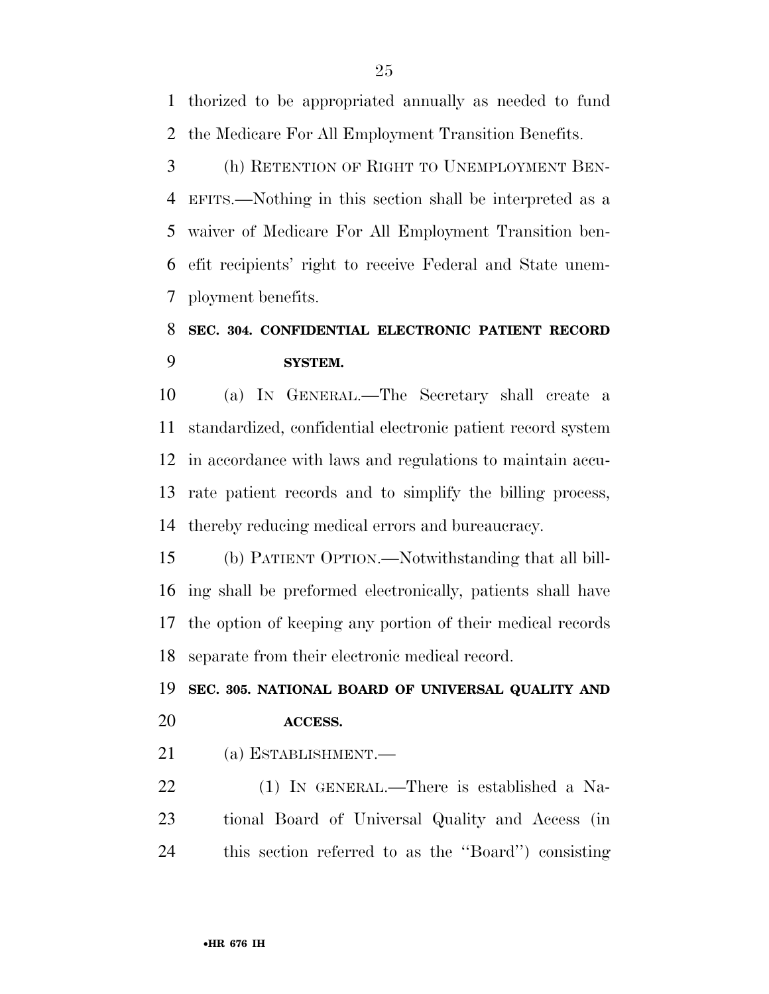thorized to be appropriated annually as needed to fund the Medicare For All Employment Transition Benefits.

 (h) RETENTION OF RIGHT TO UNEMPLOYMENT BEN- EFITS.—Nothing in this section shall be interpreted as a waiver of Medicare For All Employment Transition ben- efit recipients' right to receive Federal and State unem-ployment benefits.

## **SEC. 304. CONFIDENTIAL ELECTRONIC PATIENT RECORD SYSTEM.**

 (a) IN GENERAL.—The Secretary shall create a standardized, confidential electronic patient record system in accordance with laws and regulations to maintain accu- rate patient records and to simplify the billing process, thereby reducing medical errors and bureaucracy.

 (b) PATIENT OPTION.—Notwithstanding that all bill- ing shall be preformed electronically, patients shall have the option of keeping any portion of their medical records separate from their electronic medical record.

# **SEC. 305. NATIONAL BOARD OF UNIVERSAL QUALITY AND ACCESS.**

(a) ESTABLISHMENT.—

 (1) IN GENERAL.—There is established a Na- tional Board of Universal Quality and Access (in this section referred to as the ''Board'') consisting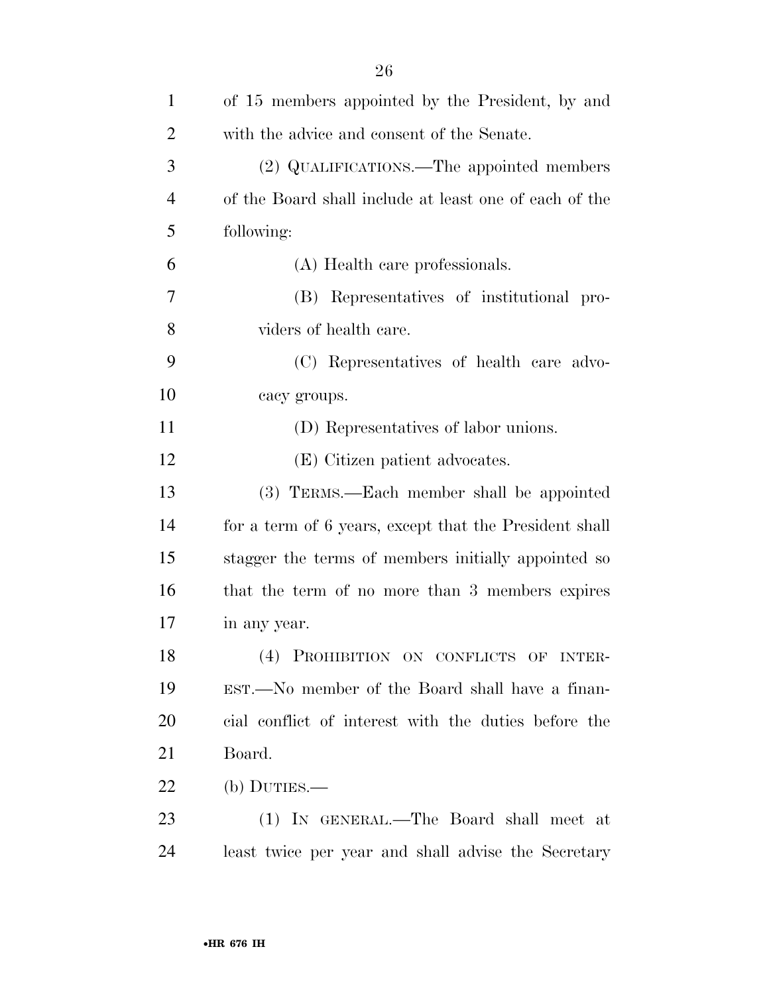| $\mathbf{1}$   | of 15 members appointed by the President, by and       |
|----------------|--------------------------------------------------------|
| $\overline{2}$ | with the advice and consent of the Senate.             |
| 3              | (2) QUALIFICATIONS.—The appointed members              |
| $\overline{4}$ | of the Board shall include at least one of each of the |
| 5              | following:                                             |
| 6              | (A) Health care professionals.                         |
| 7              | (B) Representatives of institutional pro-              |
| 8              | viders of health care.                                 |
| 9              | (C) Representatives of health care advo-               |
| 10             | cacy groups.                                           |
| 11             | (D) Representatives of labor unions.                   |
| 12             | (E) Citizen patient advocates.                         |
| 13             | (3) TERMS.—Each member shall be appointed              |
| 14             | for a term of 6 years, except that the President shall |
| 15             | stagger the terms of members initially appointed so    |
| 16             | that the term of no more than 3 members expires        |
| 17             | in any year.                                           |
| 18             | (4) PROHIBITION ON CONFLICTS OF INTER-                 |
| 19             | EST.—No member of the Board shall have a finan-        |
| 20             | cial conflict of interest with the duties before the   |
| 21             | Board.                                                 |
| 22             | (b) DUTIES.—                                           |
| 23             | (1) IN GENERAL.—The Board shall meet at                |
| 24             | least twice per year and shall advise the Secretary    |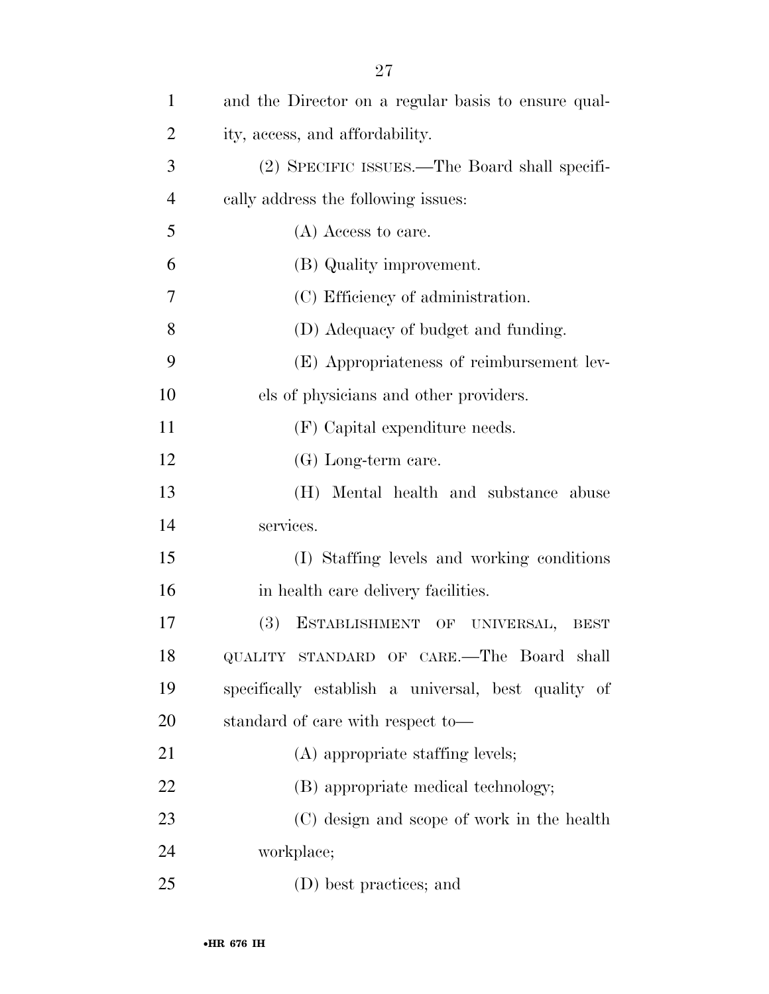| $\mathbf{1}$   | and the Director on a regular basis to ensure qual- |
|----------------|-----------------------------------------------------|
| $\overline{2}$ | ity, access, and affordability.                     |
| 3              | (2) SPECIFIC ISSUES.—The Board shall specifi-       |
| $\overline{4}$ | cally address the following issues:                 |
| 5              | (A) Access to care.                                 |
| 6              | (B) Quality improvement.                            |
| 7              | (C) Efficiency of administration.                   |
| 8              | (D) Adequacy of budget and funding.                 |
| 9              | (E) Appropriateness of reimbursement lev-           |
| 10             | els of physicians and other providers.              |
| 11             | (F) Capital expenditure needs.                      |
| 12             | (G) Long-term care.                                 |
| 13             | (H) Mental health and substance abuse               |
| 14             | services.                                           |
| 15             | (I) Staffing levels and working conditions          |
| 16             | in health care delivery facilities.                 |
| 17             | (3)<br>ESTABLISHMENT OF UNIVERSAL, BEST             |
| 18             | QUALITY STANDARD OF CARE.-The Board shall           |
| 19             | specifically establish a universal, best quality of |
| 20             | standard of care with respect to-                   |
| 21             | (A) appropriate staffing levels;                    |
| 22             | (B) appropriate medical technology;                 |
| 23             | (C) design and scope of work in the health          |
| 24             | workplace;                                          |
| 25             | (D) best practices; and                             |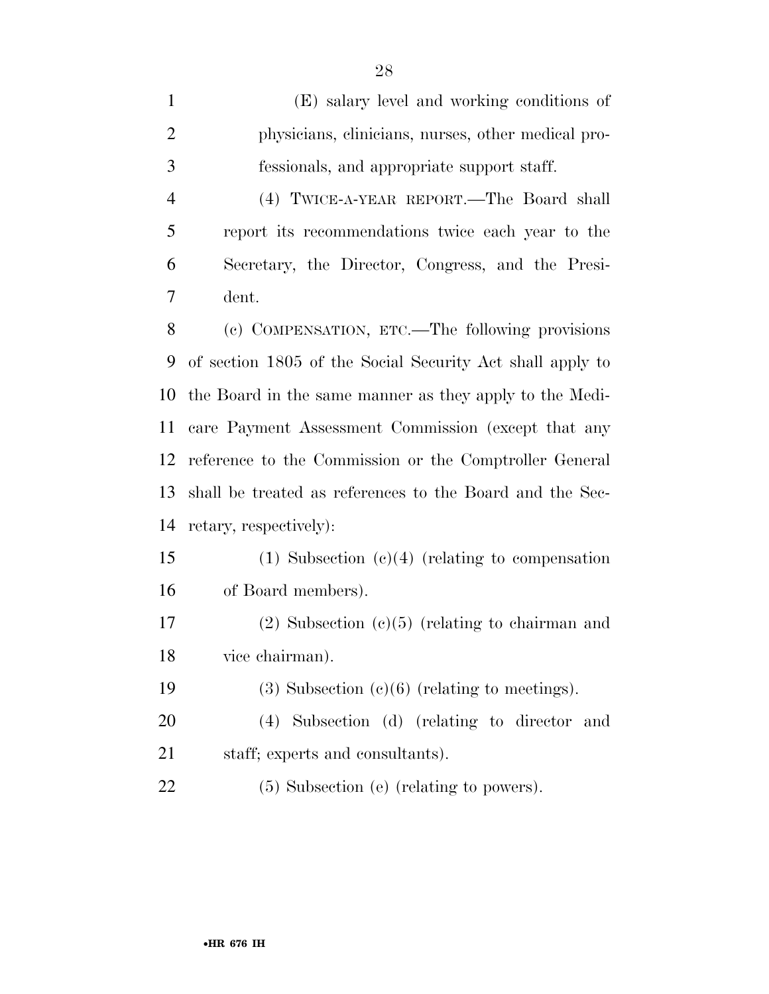| $\mathbf{1}$   | (E) salary level and working conditions of                |
|----------------|-----------------------------------------------------------|
| $\overline{c}$ | physicians, clinicians, nurses, other medical pro-        |
| 3              | fessionals, and appropriate support staff.                |
| 4              | (4) TWICE-A-YEAR REPORT.—The Board shall                  |
| 5              | report its recommendations twice each year to the         |
| 6              | Secretary, the Director, Congress, and the Presi-         |
| 7              | dent.                                                     |
| 8              | (c) COMPENSATION, ETC.—The following provisions           |
| 9              | of section 1805 of the Social Security Act shall apply to |
| 10             | the Board in the same manner as they apply to the Medi-   |
| 11             | care Payment Assessment Commission (except that any       |
| 12             | reference to the Commission or the Comptroller General    |
| 13             | shall be treated as references to the Board and the Sec-  |
| 14             | retary, respectively):                                    |
| 15             | $(1)$ Subsection $(c)(4)$ (relating to compensation       |
| 16             | of Board members).                                        |
| 17             | $(2)$ Subsection $(c)(5)$ (relating to chairman and       |
| 18             | vice chairman).                                           |
| 19             | $(3)$ Subsection $(e)(6)$ (relating to meetings).         |
| <b>20</b>      | Subsection (d) (relating to director and<br>(4)           |
| 21             | staff; experts and consultants).                          |
| 22             | (5) Subsection (e) (relating to powers).                  |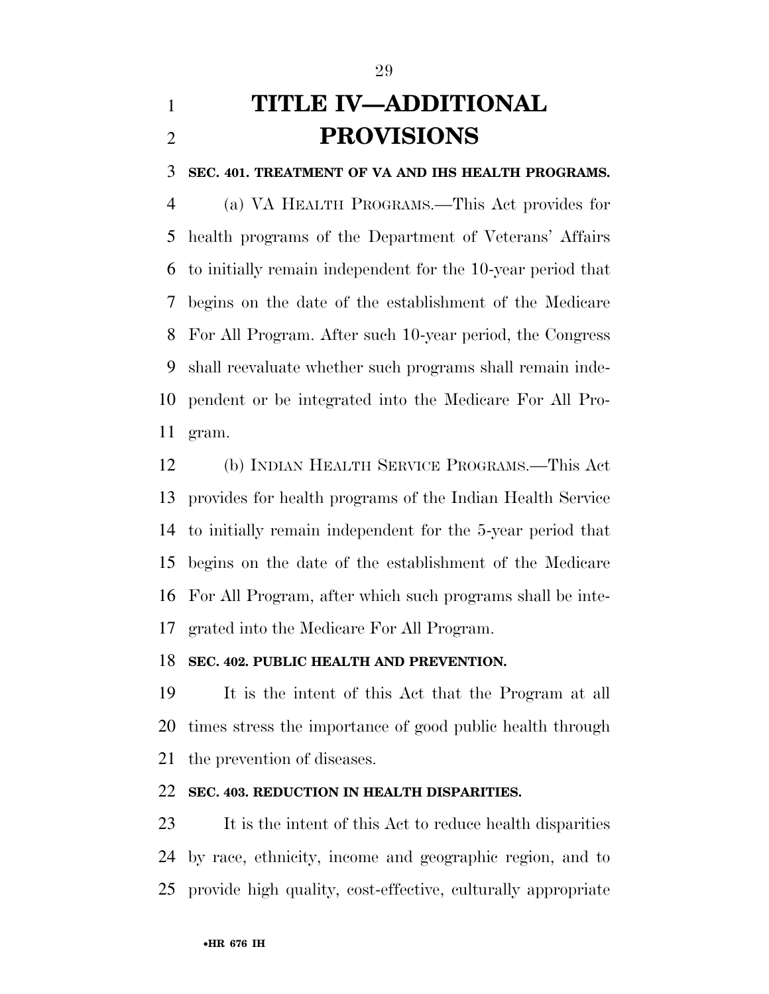# **TITLE IV—ADDITIONAL PROVISIONS**

#### **SEC. 401. TREATMENT OF VA AND IHS HEALTH PROGRAMS.**

 (a) VA HEALTH PROGRAMS.—This Act provides for health programs of the Department of Veterans' Affairs to initially remain independent for the 10-year period that begins on the date of the establishment of the Medicare For All Program. After such 10-year period, the Congress shall reevaluate whether such programs shall remain inde- pendent or be integrated into the Medicare For All Pro-gram.

 (b) INDIAN HEALTH SERVICE PROGRAMS.—This Act provides for health programs of the Indian Health Service to initially remain independent for the 5-year period that begins on the date of the establishment of the Medicare For All Program, after which such programs shall be inte-grated into the Medicare For All Program.

### **SEC. 402. PUBLIC HEALTH AND PREVENTION.**

 It is the intent of this Act that the Program at all times stress the importance of good public health through the prevention of diseases.

### **SEC. 403. REDUCTION IN HEALTH DISPARITIES.**

 It is the intent of this Act to reduce health disparities by race, ethnicity, income and geographic region, and to provide high quality, cost-effective, culturally appropriate